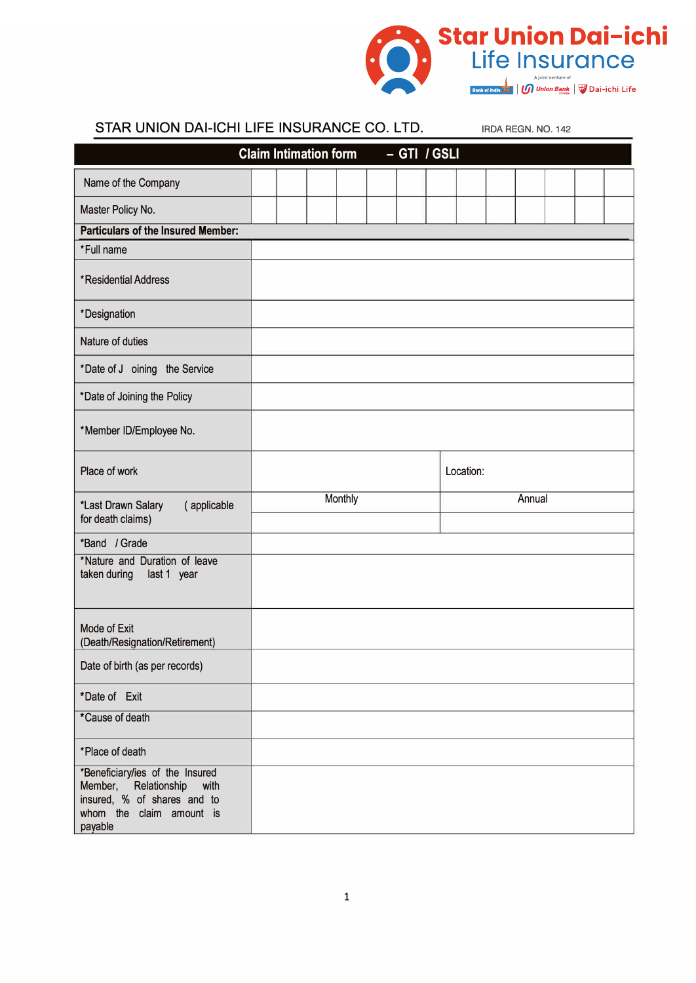

| STAR UNION DAI-ICHI LIFE INSURANCE CO. LTD.                                                                                        |                              |  |         |              |           | IRDA REGN, NO. 142 |  |  |
|------------------------------------------------------------------------------------------------------------------------------------|------------------------------|--|---------|--------------|-----------|--------------------|--|--|
|                                                                                                                                    | <b>Claim Intimation form</b> |  |         | - GTI / GSLI |           |                    |  |  |
| Name of the Company                                                                                                                |                              |  |         |              |           |                    |  |  |
| Master Policy No.                                                                                                                  |                              |  |         |              |           |                    |  |  |
| <b>Particulars of the Insured Member:</b>                                                                                          |                              |  |         |              |           |                    |  |  |
| *Full name                                                                                                                         |                              |  |         |              |           |                    |  |  |
| *Residential Address                                                                                                               |                              |  |         |              |           |                    |  |  |
| *Designation                                                                                                                       |                              |  |         |              |           |                    |  |  |
| Nature of duties                                                                                                                   |                              |  |         |              |           |                    |  |  |
| *Date of J oining the Service                                                                                                      |                              |  |         |              |           |                    |  |  |
| *Date of Joining the Policy                                                                                                        |                              |  |         |              |           |                    |  |  |
| *Member ID/Employee No.                                                                                                            |                              |  |         |              |           |                    |  |  |
| Place of work                                                                                                                      |                              |  |         |              | Location: |                    |  |  |
| *Last Drawn Salary<br>(applicable                                                                                                  |                              |  | Monthly |              |           | Annual             |  |  |
| for death claims)                                                                                                                  |                              |  |         |              |           |                    |  |  |
| *Band / Grade                                                                                                                      |                              |  |         |              |           |                    |  |  |
| *Nature and Duration of leave<br>taken during<br>last 1 year                                                                       |                              |  |         |              |           |                    |  |  |
| Mode of Exit<br>(Death/Resignation/Retirement)                                                                                     |                              |  |         |              |           |                    |  |  |
| Date of birth (as per records)                                                                                                     |                              |  |         |              |           |                    |  |  |
| *Date of Exit                                                                                                                      |                              |  |         |              |           |                    |  |  |
| *Cause of death                                                                                                                    |                              |  |         |              |           |                    |  |  |
| *Place of death                                                                                                                    |                              |  |         |              |           |                    |  |  |
| *Beneficiary/ies of the Insured<br>Member, Relationship with<br>insured, % of shares and to<br>whom the claim amount is<br>payable |                              |  |         |              |           |                    |  |  |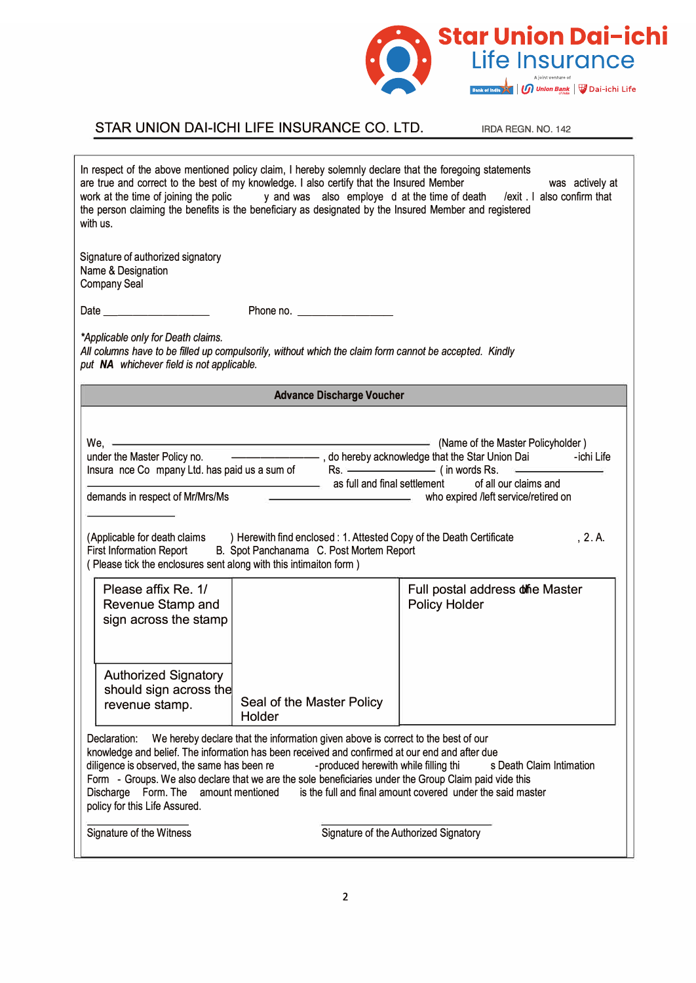

## STAR UNION DAI-ICHI LIFE INSURANCE CO. LTD. IRDA REGN. NO. 142

| In respect of the above mentioned policy claim, I hereby solemnly declare that the foregoing statements<br>are true and correct to the best of my knowledge. I also certify that the Insured Member<br>was actively at<br>work at the time of joining the polic y and was also employe d at the time of death /exit . I also confirm that<br>the person claiming the benefits is the beneficiary as designated by the Insured Member and registered<br>with us. |                                                                                                                          |                                                                                                                                                                                                                                                                            |  |  |  |  |
|-----------------------------------------------------------------------------------------------------------------------------------------------------------------------------------------------------------------------------------------------------------------------------------------------------------------------------------------------------------------------------------------------------------------------------------------------------------------|--------------------------------------------------------------------------------------------------------------------------|----------------------------------------------------------------------------------------------------------------------------------------------------------------------------------------------------------------------------------------------------------------------------|--|--|--|--|
| Signature of authorized signatory<br>Name & Designation<br><b>Company Seal</b>                                                                                                                                                                                                                                                                                                                                                                                  |                                                                                                                          |                                                                                                                                                                                                                                                                            |  |  |  |  |
|                                                                                                                                                                                                                                                                                                                                                                                                                                                                 |                                                                                                                          |                                                                                                                                                                                                                                                                            |  |  |  |  |
| *Applicable only for Death claims.<br>All columns have to be filled up compulsorily, without which the claim form cannot be accepted. Kindly<br>put NA whichever field is not applicable.                                                                                                                                                                                                                                                                       |                                                                                                                          |                                                                                                                                                                                                                                                                            |  |  |  |  |
|                                                                                                                                                                                                                                                                                                                                                                                                                                                                 | <b>Advance Discharge Voucher</b>                                                                                         |                                                                                                                                                                                                                                                                            |  |  |  |  |
| (Applicable for death claims ) Herewith find enclosed : 1. Attested Copy of the Death Certificate<br><b>First Information Report</b><br>(Please tick the enclosures sent along with this intimaiton form)                                                                                                                                                                                                                                                       | B. Spot Panchanama C. Post Mortem Report                                                                                 | We, <u>Communication</u> (Name of the Master Policyholder)<br>under the Master Policy no. <b>Construct Construct Construct</b> , do hereby acknowledge that the Star Union Dai <b>Construct Construct</b><br>as full and final settlement of all our claims and<br>, 2. A. |  |  |  |  |
| Please affix Re. 1/<br>Revenue Stamp and<br>sign across the stamp<br><b>Authorized Signatory</b><br>should sign across the<br>revenue stamp.                                                                                                                                                                                                                                                                                                                    | Seal of the Master Policy<br>Holder                                                                                      | Full postal address offie Master<br><b>Policy Holder</b>                                                                                                                                                                                                                   |  |  |  |  |
| Declaration:<br>knowledge and belief. The information has been received and confirmed at our end and after due<br>diligence is observed, the same has been re<br>Form - Groups. We also declare that we are the sole beneficiaries under the Group Claim paid vide this<br>Discharge Form. The amount mentioned<br>policy for this Life Assured.                                                                                                                | We hereby declare that the information given above is correct to the best of our<br>-produced herewith while filling thi | s Death Claim Intimation<br>is the full and final amount covered under the said master                                                                                                                                                                                     |  |  |  |  |
| Signature of the Witness                                                                                                                                                                                                                                                                                                                                                                                                                                        |                                                                                                                          | Signature of the Authorized Signatory                                                                                                                                                                                                                                      |  |  |  |  |